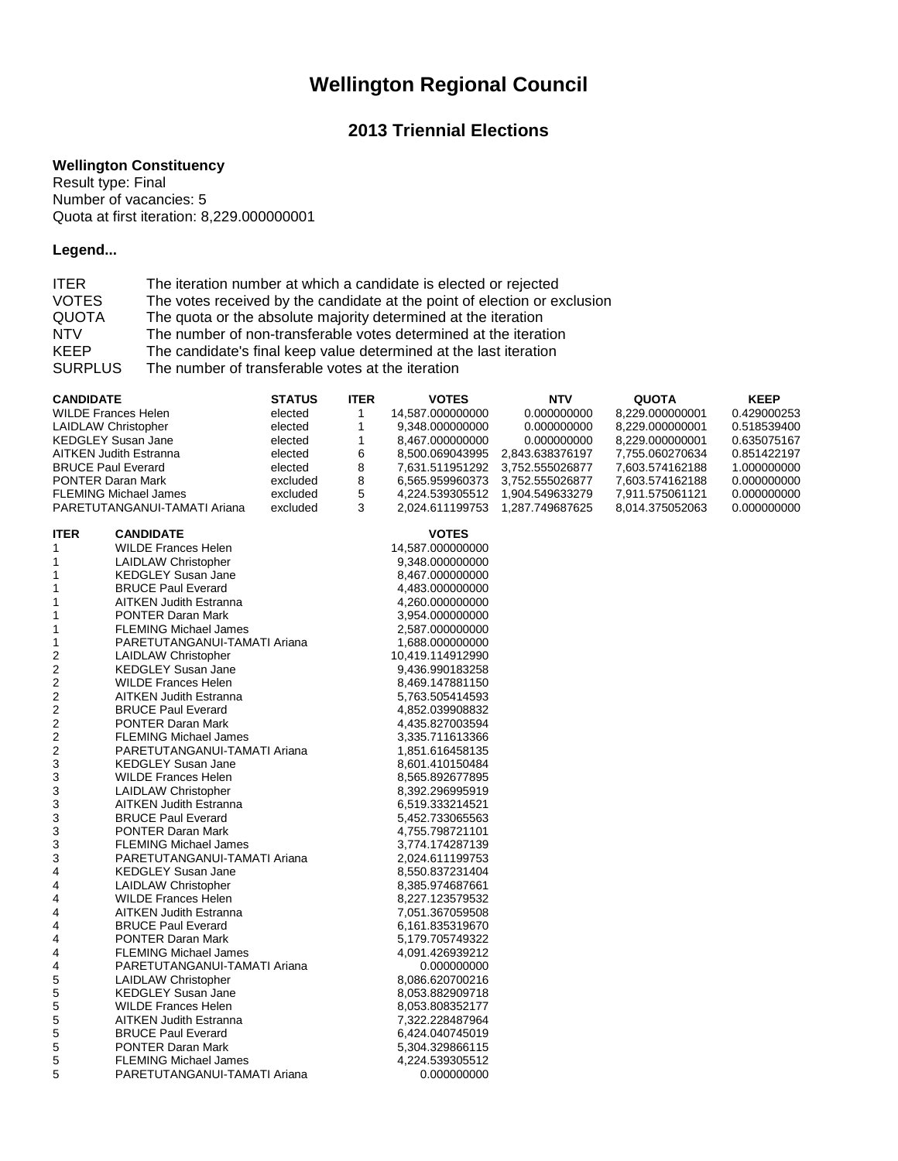# **Wellington Regional Council**

## **2013 Triennial Elections**

#### **Wellington Constituency**

Result type: Final Number of vacancies: 5 Quota at first iteration: 8,229.000000001

### **Legend...**

| <b>ITER</b>    | The iteration number at which a candidate is elected or rejected          |
|----------------|---------------------------------------------------------------------------|
| <b>VOTES</b>   | The votes received by the candidate at the point of election or exclusion |
| <b>QUOTA</b>   | The quota or the absolute majority determined at the iteration            |
| <b>NTV</b>     | The number of non-transferable votes determined at the iteration          |
| <b>KEEP</b>    | The candidate's final keep value determined at the last iteration         |
| <b>SURPLUS</b> | The number of transferable votes at the iteration                         |

| <b>CANDIDATE</b>           |                               | <b>STATUS</b> | <b>ITER</b> | <b>VOTES</b>     | <b>NTV</b>      | <b>QUOTA</b>    | <b>KEEP</b> |
|----------------------------|-------------------------------|---------------|-------------|------------------|-----------------|-----------------|-------------|
| WILDE Frances Helen        |                               | elected       | 1           | 14,587.000000000 | 0.000000000     | 8,229.000000001 | 0.429000253 |
| <b>LAIDLAW Christopher</b> |                               | elected       | 1           | 9,348.000000000  | 0.000000000     | 8,229.000000001 | 0.518539400 |
|                            | <b>KEDGLEY Susan Jane</b>     | elected       | 1           | 8,467.000000000  | 0.000000000     | 8,229.000000001 | 0.635075167 |
|                            | <b>AITKEN Judith Estranna</b> | elected       | 6           | 8,500.069043995  | 2,843.638376197 | 7,755.060270634 | 0.851422197 |
| <b>BRUCE Paul Everard</b>  |                               | elected       | 8           | 7,631.511951292  | 3,752.555026877 | 7,603.574162188 | 1.000000000 |
|                            |                               |               | 8           |                  |                 |                 |             |
| <b>PONTER Daran Mark</b>   |                               | excluded      |             | 6,565.959960373  | 3,752.555026877 | 7,603.574162188 | 0.000000000 |
|                            | <b>FLEMING Michael James</b>  | excluded      | 5           | 4,224.539305512  | 1,904.549633279 | 7,911.575061121 | 0.000000000 |
|                            | PARETUTANGANUI-TAMATI Ariana  | excluded      | 3           | 2,024.611199753  | 1,287.749687625 | 8,014.375052063 | 0.000000000 |
|                            |                               |               |             |                  |                 |                 |             |
| <b>ITER</b>                | <b>CANDIDATE</b>              |               |             | <b>VOTES</b>     |                 |                 |             |
| 1                          | <b>WILDE Frances Helen</b>    |               |             | 14,587.000000000 |                 |                 |             |
| 1                          | <b>LAIDLAW Christopher</b>    |               |             | 9,348.000000000  |                 |                 |             |
| 1                          | <b>KEDGLEY Susan Jane</b>     |               |             | 8,467.000000000  |                 |                 |             |
| 1                          | <b>BRUCE Paul Everard</b>     |               |             | 4,483.000000000  |                 |                 |             |
| 1                          | <b>AITKEN Judith Estranna</b> |               |             | 4,260.000000000  |                 |                 |             |
| 1                          | <b>PONTER Daran Mark</b>      |               |             | 3,954.000000000  |                 |                 |             |
| 1                          | <b>FLEMING Michael James</b>  |               |             | 2,587.000000000  |                 |                 |             |
| 1                          | PARETUTANGANUI-TAMATI Ariana  |               |             | 1,688.000000000  |                 |                 |             |
| $\overline{c}$             | <b>LAIDLAW Christopher</b>    |               |             | 10,419.114912990 |                 |                 |             |
| 2                          | <b>KEDGLEY Susan Jane</b>     |               |             | 9,436.990183258  |                 |                 |             |
| $\overline{c}$             | <b>WILDE Frances Helen</b>    |               |             | 8,469.147881150  |                 |                 |             |
| 2                          | <b>AITKEN Judith Estranna</b> |               |             | 5,763.505414593  |                 |                 |             |
|                            | <b>BRUCE Paul Everard</b>     |               |             |                  |                 |                 |             |
| 2                          |                               |               |             | 4,852.039908832  |                 |                 |             |
| 2                          | <b>PONTER Daran Mark</b>      |               |             | 4,435.827003594  |                 |                 |             |
| $\overline{c}$             | <b>FLEMING Michael James</b>  |               |             | 3,335.711613366  |                 |                 |             |
| $\overline{2}$             | PARETUTANGANUI-TAMATI Ariana  |               |             | 1,851.616458135  |                 |                 |             |
| 3                          | <b>KEDGLEY Susan Jane</b>     |               |             | 8,601.410150484  |                 |                 |             |
| 3                          | <b>WILDE Frances Helen</b>    |               |             | 8,565.892677895  |                 |                 |             |
| 3                          | <b>LAIDLAW Christopher</b>    |               |             | 8,392.296995919  |                 |                 |             |
| 3                          | <b>AITKEN Judith Estranna</b> |               |             | 6,519.333214521  |                 |                 |             |
| 3                          | <b>BRUCE Paul Everard</b>     |               |             | 5,452.733065563  |                 |                 |             |
| 3                          | <b>PONTER Daran Mark</b>      |               |             | 4,755.798721101  |                 |                 |             |
| 3                          | <b>FLEMING Michael James</b>  |               |             | 3,774.174287139  |                 |                 |             |
| 3                          | PARETUTANGANUI-TAMATI Ariana  |               |             | 2,024.611199753  |                 |                 |             |
| 4                          | <b>KEDGLEY Susan Jane</b>     |               |             | 8,550.837231404  |                 |                 |             |
| 4                          | <b>LAIDLAW Christopher</b>    |               |             | 8,385.974687661  |                 |                 |             |
| 4                          | <b>WILDE Frances Helen</b>    |               |             | 8,227.123579532  |                 |                 |             |
| 4                          | <b>AITKEN Judith Estranna</b> |               |             | 7,051.367059508  |                 |                 |             |
| 4                          | <b>BRUCE Paul Everard</b>     |               |             | 6,161.835319670  |                 |                 |             |
| 4                          | <b>PONTER Daran Mark</b>      |               |             | 5,179.705749322  |                 |                 |             |
|                            | <b>FLEMING Michael James</b>  |               |             |                  |                 |                 |             |
| 4                          |                               |               |             | 4,091.426939212  |                 |                 |             |
| 4                          | PARETUTANGANUI-TAMATI Ariana  |               |             | 0.000000000      |                 |                 |             |
| 5                          | LAIDLAW Christopher           |               |             | 8,086.620700216  |                 |                 |             |
| 5                          | <b>KEDGLEY Susan Jane</b>     |               |             | 8,053.882909718  |                 |                 |             |
| 5                          | <b>WILDE Frances Helen</b>    |               |             | 8,053.808352177  |                 |                 |             |
| 5                          | <b>AITKEN Judith Estranna</b> |               |             | 7,322.228487964  |                 |                 |             |
| 5                          | <b>BRUCE Paul Everard</b>     |               |             | 6,424.040745019  |                 |                 |             |
| 5                          | <b>PONTER Daran Mark</b>      |               |             | 5,304.329866115  |                 |                 |             |
| 5                          | <b>FLEMING Michael James</b>  |               |             | 4,224.539305512  |                 |                 |             |
| 5                          | PARETUTANGANUI-TAMATI Ariana  |               |             | 0.000000000      |                 |                 |             |
|                            |                               |               |             |                  |                 |                 |             |